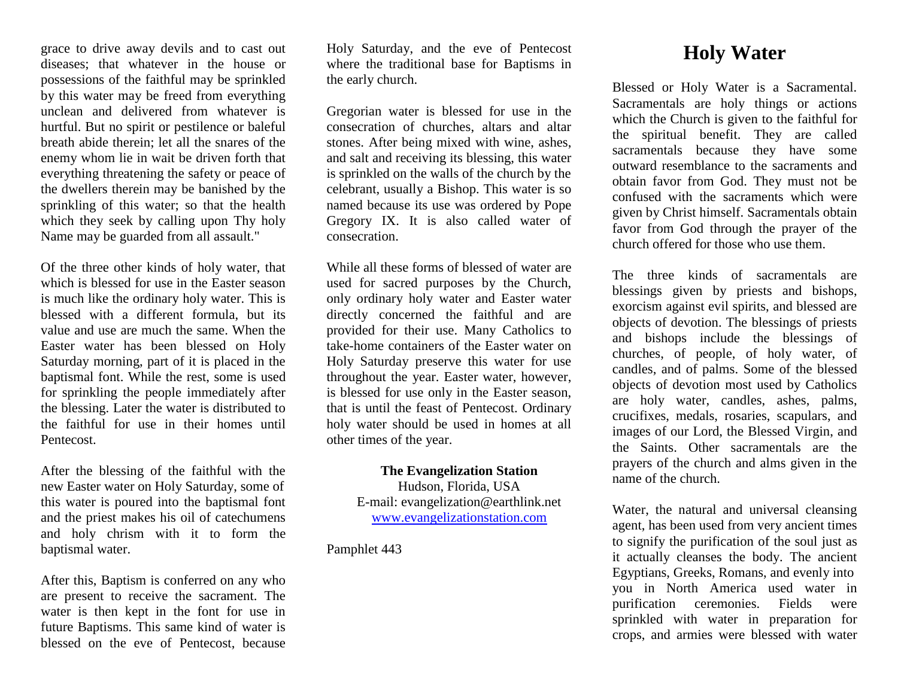grace to drive away devils and to cast out diseases; that whatever in the house or possessions of the faithful may be sprinkled by this water may be freed from everything unclean and delivered from whatever is hurtful. But no spirit or pestilence or baleful breath abide therein; let all the snares of the enemy whom lie in wait be driven forth that everything threatening the safety or peace of the dwellers therein may be banished by the sprinkling of this water; so that the health which they seek by calling upon Thy holy Name may be guarded from all assault."

Of the three other kinds of holy water, that which is blessed for use in the Easter season is much like the ordinary holy water. This is blessed with a different formula, but its value and use are much the same. When the Easter water has been blessed on Holy Saturday morning, part of it is placed in the baptismal font. While the rest, some is used for sprinkling the people immediately after the blessing. Later the water is distributed to the faithful for use in their homes until **Pentecost** 

After the blessing of the faithful with the new Easter water on Holy Saturday, some of this water is poured into the baptismal font and the priest makes his oil of catechumens and holy chrism with it to form the baptismal water.

After this, Baptism is conferred on any who are present to receive the sacrament. The water is then kept in the font for use in future Baptisms. This same kind of water is blessed on the eve of Pentecost, because Holy Saturday, and the eve of Pentecost where the traditional base for Baptisms in the early church.

Gregorian water is blessed for use in the consecration of churches, altars and altar stones. After being mixed with wine, ashes, and salt and receiving its blessing, this water is sprinkled on the walls of the church by the celebrant, usually a Bishop. This water is so named because its use was ordered by Pope Gregory IX. It is also called water of consecration.

While all these forms of blessed of water are used for sacred purposes by the Church, only ordinary holy water and Easter water directly concerned the faithful and are provided for their use. Many Catholics to take-home containers of the Easter water on Holy Saturday preserve this water for use throughout the year. Easter water, however, is blessed for use only in the Easter season, that is until the feast of Pentecost. Ordinary holy water should be used in homes at all other times of the year.

> **The Evangelization Station**  Hudson, Florida, USA

E-mail: evangelization@earthlink.net [www.evangelizationstation.com](http://www.pjpiisoe.org/)

Pamphlet 443

## **Holy Water**

Blessed or Holy Water is a Sacramental. Sacramentals are holy things or actions which the Church is given to the faithful for the spiritual benefit. They are called sacramentals because they have some outward resemblance to the sacraments and obtain favor from God. They must not be confused with the sacraments which were given by Christ himself. Sacramentals obtain favor from God through the prayer of the church offered for those who use them.

The three kinds of sacramentals are blessings given by priests and bishops, exorcism against evil spirits, and blessed are objects of devotion. The blessings of priests and bishops include the blessings of churches, of people, of holy water, of candles, and of palms. Some of the blessed objects of devotion most used by Catholics are holy water, candles, ashes, palms, crucifixes, medals, rosaries, scapulars, and images of our Lord, the Blessed Virgin, and the Saints. Other sacramentals are the prayers of the church and alms given in the name of the church.

Water, the natural and universal cleansing agent, has been used from very ancient times to signify the purification of the soul just as it actually cleanses the body. The ancient Egyptians, Greeks, Romans, and evenly into you in North America used water in purification ceremonies. Fields were sprinkled with water in preparation for crops, and armies were blessed with water